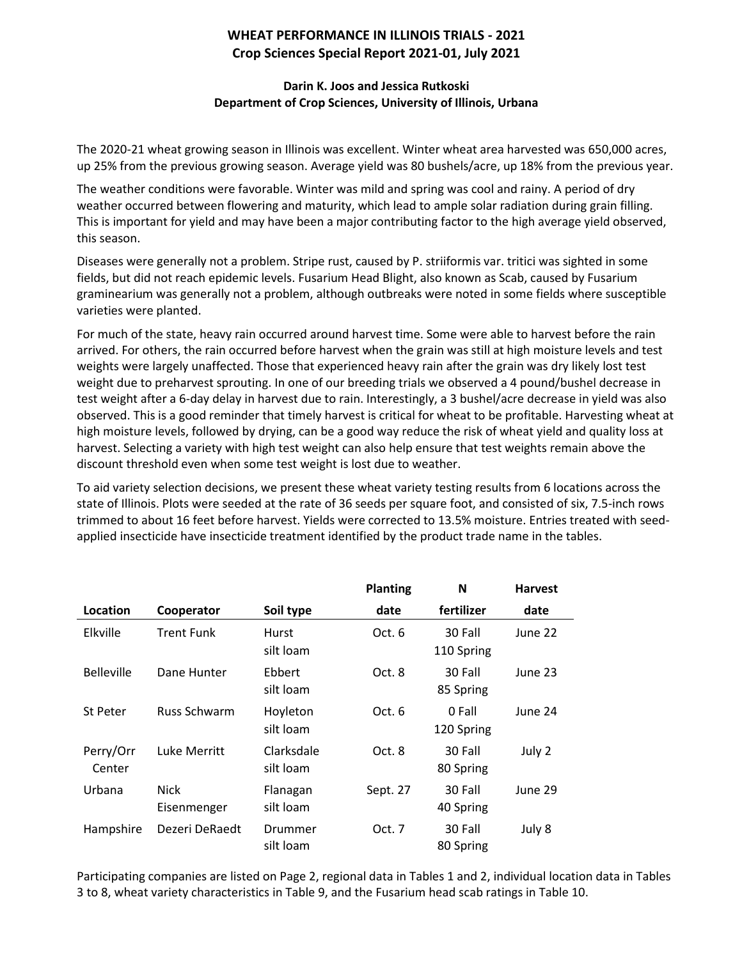## **WHEAT PERFORMANCE IN ILLINOIS TRIALS - 2021 Crop Sciences Special Report 2021-01, July 2021**

## **Darin K. Joos and Jessica Rutkoski Department of Crop Sciences, University of Illinois, Urbana**

The 2020-21 wheat growing season in Illinois was excellent. Winter wheat area harvested was 650,000 acres, up 25% from the previous growing season. Average yield was 80 bushels/acre, up 18% from the previous year.

The weather conditions were favorable. Winter was mild and spring was cool and rainy. A period of dry weather occurred between flowering and maturity, which lead to ample solar radiation during grain filling. This is important for yield and may have been a major contributing factor to the high average yield observed, this season.

Diseases were generally not a problem. Stripe rust, caused by P. striiformis var. tritici was sighted in some fields, but did not reach epidemic levels. Fusarium Head Blight, also known as Scab, caused by Fusarium graminearium was generally not a problem, although outbreaks were noted in some fields where susceptible varieties were planted.

For much of the state, heavy rain occurred around harvest time. Some were able to harvest before the rain arrived. For others, the rain occurred before harvest when the grain was still at high moisture levels and test weights were largely unaffected. Those that experienced heavy rain after the grain was dry likely lost test weight due to preharvest sprouting. In one of our breeding trials we observed a 4 pound/bushel decrease in test weight after a 6-day delay in harvest due to rain. Interestingly, a 3 bushel/acre decrease in yield was also observed. This is a good reminder that timely harvest is critical for wheat to be profitable. Harvesting wheat at high moisture levels, followed by drying, can be a good way reduce the risk of wheat yield and quality loss at harvest. Selecting a variety with high test weight can also help ensure that test weights remain above the discount threshold even when some test weight is lost due to weather.

To aid variety selection decisions, we present these wheat variety testing results from 6 locations across the state of Illinois. Plots were seeded at the rate of 36 seeds per square foot, and consisted of six, 7.5-inch rows trimmed to about 16 feet before harvest. Yields were corrected to 13.5% moisture. Entries treated with seedapplied insecticide have insecticide treatment identified by the product trade name in the tables.

|                     |                            |                         | <b>Planting</b> | N                     | <b>Harvest</b> |
|---------------------|----------------------------|-------------------------|-----------------|-----------------------|----------------|
| Location            | Cooperator                 | Soil type               | date            | fertilizer            | date           |
| Elkville            | <b>Trent Funk</b>          | Hurst<br>silt loam      | Oct. 6          | 30 Fall<br>110 Spring | June 22        |
| <b>Belleville</b>   | Dane Hunter                | Ebbert<br>silt loam     | Oct. 8          | 30 Fall<br>85 Spring  | June 23        |
| St Peter            | <b>Russ Schwarm</b>        | Hoyleton<br>silt loam   | Oct. 6          | 0 Fall<br>120 Spring  | June 24        |
| Perry/Orr<br>Center | Luke Merritt               | Clarksdale<br>silt loam | Oct. 8          | 30 Fall<br>80 Spring  | July 2         |
| Urbana              | <b>Nick</b><br>Eisenmenger | Flanagan<br>silt Ioam   | Sept. 27        | 30 Fall<br>40 Spring  | June 29        |
| Hampshire           | Dezeri DeRaedt             | Drummer<br>silt Ioam    | Oct. 7          | 30 Fall<br>80 Spring  | July 8         |

Participating companies are listed on Page 2, regional data in Tables 1 and 2, individual location data in Tables 3 to 8, wheat variety characteristics in Table 9, and the Fusarium head scab ratings in Table 10.